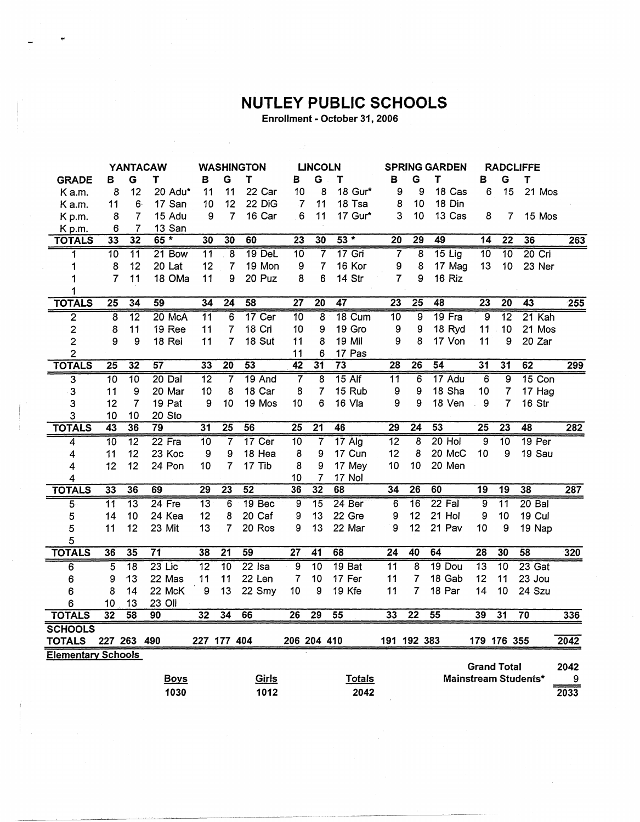## NUTLEY PUBLIC SCHOOLS

Enrollment - October 31, 2006

|                         | <b>YANTACAW</b>                            |                 |                 |             | <b>WASHINGTON</b> |                 |                 |              | <b>LINCOLN</b>  |                    |                 |          | <b>SPRING GARDEN</b> |                         |    |          | <b>RADCLIFFE</b> |                 |                 |          |                  |
|-------------------------|--------------------------------------------|-----------------|-----------------|-------------|-------------------|-----------------|-----------------|--------------|-----------------|--------------------|-----------------|----------|----------------------|-------------------------|----|----------|------------------|-----------------|-----------------|----------|------------------|
| <b>GRADE</b>            | в                                          | G               | т               |             | в                 | G               | T               |              | в               | G                  | т               |          | в                    | G                       | т  |          | в                | G               | T               |          |                  |
| K a.m.                  | 8                                          | 12              |                 | 20 Adu*     | 11                | 11              |                 | 22 Car       | 10              | 8                  |                 | 18 Gur*  | 9                    | 9                       |    | 18 Cas   | 6                | 15              |                 | 21 Mos   |                  |
| K a.m.                  | 11                                         | 6               |                 | 17 San      | 10                | 12              |                 | 22 DiG       | .7              | 11                 |                 | 18 Tsa   | 8                    | 10                      |    | 18 Din   |                  |                 |                 |          |                  |
| K p.m.                  | 8                                          | 7               |                 | 15 Adu      | 9                 | $\overline{7}$  |                 | 16 Car       | 6               | 11                 |                 | 17 Gur*  |                      | 3<br>10                 |    | 13 Cas   | 8                |                 | 7               | 15 Mos   |                  |
| K p.m.                  | 6                                          | 7               |                 | 13 San      |                   |                 |                 |              |                 |                    |                 |          |                      |                         |    |          |                  |                 |                 |          |                  |
| <b>TOTALS</b>           | 33                                         | $\overline{32}$ |                 | $65*$       | 30                | 30              | 60              |              | $\overline{23}$ | 30                 |                 | $53 *$   | $\overline{20}$      | 29                      | 49 |          | $\overline{14}$  | $\overline{22}$ | 36              |          | 263              |
| 1                       | 10                                         | $\overline{11}$ |                 | 21 Bow      | 11                | 8               |                 | 19 DeL       | 10              | 7                  |                 | $17$ Gri | 7                    | 8                       |    | $15$ Lig | $\overline{10}$  | $\overline{10}$ |                 | $20$ Cri |                  |
| 1                       | 8                                          | 12              |                 | 20 Lat      | 12                | $\overline{7}$  |                 | 19 Mon       | 9               | 7                  |                 | 16 Kor   | 9                    | 8                       |    | 17 Mag   | 13               | 10              |                 | 23 Ner   |                  |
| 1                       | $\overline{7}$                             | 11              |                 | 18 OMa      | 11                | 9               |                 | 20 Puz       | 8               | 6                  |                 | 14 Str   | 7                    | 9                       |    | 16 Riz   |                  |                 |                 |          |                  |
| 1                       |                                            |                 |                 |             |                   |                 |                 |              |                 |                    |                 |          |                      |                         |    |          |                  |                 |                 |          |                  |
| <b>TOTALS</b>           | $\overline{25}$                            | $\overline{34}$ | 59              |             | 34                | $\overline{24}$ | 58              |              | $\overline{27}$ | $\overline{20}$    | 47              |          | $\overline{23}$      | $\overline{25}$         | 48 |          | $\overline{23}$  | $\overline{20}$ | 43              |          | 255              |
| 2                       | 8                                          | $\overline{12}$ |                 | 20 McA      | $\overline{11}$   | $\overline{6}$  |                 | 17 Cer       | $\overline{10}$ | $\overline{\bf 8}$ |                 | 18 Cum   | $\overline{10}$      | $\overline{9}$          |    | 19 Fra   | $\overline{9}$   | $\overline{12}$ |                 | 21 Kah   |                  |
| 2                       | 8                                          | 11              |                 | 19 Ree      | 11                | $\overline{I}$  |                 | 18 Cri       | 10              | 9                  |                 | 19 Gro   | 9                    | 9                       |    | 18 Ryd   | 11               | 10              |                 | 21 Mos   |                  |
| $\overline{c}$          | 9                                          | 9               |                 | 18 Rei      | 11                | 7               |                 | 18 Sut       | 11              | 8                  |                 | 19 Mil   | 9                    | 8                       |    | 17 Von   | 11               | 9               |                 | 20 Zar   |                  |
| $\overline{\mathbf{c}}$ |                                            |                 |                 |             |                   |                 |                 |              | 11              | 6                  |                 | 17 Pas   |                      |                         |    |          |                  |                 |                 |          |                  |
| <b>TOTALS</b>           | $\overline{25}$                            | $\overline{32}$ | 57              |             | 33                | $\overline{20}$ | 53              |              | $\overline{42}$ | $\overline{31}$    | $\overline{73}$ |          | 28                   | 26                      | 54 |          | $\overline{31}$  | $\overline{31}$ | 62              |          | 299              |
| $\overline{\mathbf{3}}$ | 10                                         | $\overline{10}$ |                 | $20$ Dal    | $\overline{12}$   | 7               |                 | 19 And       | 7               | $\overline{8}$     |                 | $15$ Alf | $\overline{11}$      | $6\overline{6}$         |    | 17 Adu   | $\overline{6}$   | $\overline{9}$  |                 | $15$ Con |                  |
| $\mathbf{3}$            | 11                                         | 9               |                 | 20 Mar      | 10                | 8               |                 | 18 Car       | 8               | 7                  |                 | 15 Rub   | 9                    | 9                       |    | 18 Sha   | 10               | 7               |                 | 17 Hag   |                  |
| 3                       | 12                                         | $\overline{7}$  |                 | 19 Pat      | 9                 | 10              |                 | 19 Mos       | 10              | 6                  |                 | 16 Vla   | 9                    | 9                       |    | 18 Ven   | $\boldsymbol{9}$ | 7               |                 | 16 Str   |                  |
| 3                       | 10                                         | 10              |                 | 20 Sto      |                   |                 |                 |              |                 |                    |                 |          |                      |                         |    |          |                  |                 |                 |          |                  |
| <b>TOTALS</b>           | $\overline{43}$                            | 36              | 79              |             | 31                | 25              | 56              |              | 25              | $\overline{21}$    | 46              |          | 29                   | 24                      | 53 |          | 25               | $\overline{23}$ | 48              |          | $\overline{282}$ |
| 4                       | $\overline{10}$                            | $\overline{12}$ |                 | 22 Fra      | 10                | 7               |                 | 17 Cer       | $\overline{10}$ | 7                  |                 | $17$ Alg | 12                   | $\overline{\mathbf{8}}$ |    | $20$ Hol | 9                | $\overline{10}$ |                 | 19 Per   |                  |
| 4                       | 11                                         | 12              |                 | 23 Koc      | 9                 | 9               |                 | 18 Hea       | 8               | 9                  |                 | 17 Cun   | 12                   | 8                       |    | 20 McC   | 10               | 9               |                 | 19 Sau   |                  |
| 4                       | 12                                         | 12              |                 | 24 Pon      | 10                | 7               |                 | 17 Tib       | 8               | 9                  |                 | 17 Mey   | 10                   | 10                      |    | 20 Men   |                  |                 |                 |          |                  |
| 4                       |                                            |                 |                 |             |                   |                 |                 |              | 10              | 7                  |                 | 17 Nol   |                      |                         |    |          |                  |                 |                 |          |                  |
| <b>TOTALS</b>           | 33                                         | 36              | 69              |             | $\overline{29}$   | $\overline{23}$ | $\overline{52}$ |              | 36              | $\overline{32}$    | 68              |          | $\overline{34}$      | $\overline{26}$         | 60 |          | $\overline{19}$  | $\overline{19}$ | 38              |          | 287              |
| $\overline{5}$          | $\overline{11}$                            | $\overline{13}$ |                 | $24$ Fre    | $\overline{13}$   | 6               |                 | 19 Bec       | 9               | $\overline{15}$    |                 | 24 Ber   | 6                    | $\overline{16}$         |    | $22$ Fal | 9                | $\overline{11}$ |                 | $20$ Bal |                  |
| 5                       | 14                                         | 10              |                 | 24 Kea      | 12                | 8               |                 | 20 Caf       | 9               | 13                 |                 | 22 Gre   | 9                    | 12                      |    | 21 Hol   | 9                | 10              |                 | 19 Cul   |                  |
| 5                       | 11                                         | 12              |                 | 23 Mit      | 13                | $\overline{7}$  |                 | 20 Ros       | 9               | 13                 |                 | 22 Mar   | 9                    | 12                      |    | 21 Pav   | 10               | 9               |                 | 19 Nap   |                  |
| 5                       |                                            |                 |                 |             |                   |                 |                 |              |                 |                    |                 |          |                      |                         |    |          |                  |                 |                 |          |                  |
| <b>TOTALS</b>           | 36                                         | 35              | $\overline{71}$ |             | 38                | $\overline{21}$ | 59              |              | $\overline{27}$ | $\overline{41}$    | 68              |          | $\overline{24}$      | 40                      | 64 |          | $\overline{28}$  | 30              | 58              |          | 320              |
| 6                       | $\overline{5}$                             | $\overline{18}$ |                 | $23$ Lic    | $\overline{12}$   | 10              |                 | $22$ Isa     | $\overline{9}$  | 10                 |                 | 19 Bat   | $\overline{11}$      | $\overline{8}$          |    | 19 Dou   | $\overline{13}$  | 10              |                 | $23$ Gat |                  |
| 6                       | 9                                          | 13              |                 | 22 Mas      | 11                | 11              |                 | 22 Len       | 7               | 10                 |                 | 17 Fer   | 11                   | 7                       |    | 18 Gab   | 12               | 11              |                 | 23 Jou   |                  |
| 6                       | 8                                          | 14              |                 | 22 McK      | 9                 | 13              |                 | 22 Smy       | 10              | 9                  |                 | 19 Kfe   | 11                   | 7                       |    | 18 Par   | 14               | 10              |                 | 24 Szu   |                  |
| 6                       | 10                                         | 13              |                 | 23 Oli      |                   |                 |                 |              |                 |                    |                 |          |                      |                         |    |          |                  |                 |                 |          |                  |
| <b>TOTALS</b>           | 32                                         | 58              | $\overline{90}$ |             | 32                | 34              | 66              |              | 26              | 29                 | 55              |          | 33                   | $\overline{22}$         | 55 |          | 39               | 31              | $\overline{70}$ |          | 336              |
| <b>SCHOOLS</b>          |                                            |                 |                 |             |                   |                 |                 |              |                 |                    |                 |          |                      |                         |    |          |                  |                 |                 |          |                  |
| <b>TOTALS</b>           |                                            | 227 263 490     |                 |             | 227 177 404       |                 |                 |              | 206 204 410     |                    |                 |          |                      | 191 192 383             |    |          | 179 176 355      |                 |                 |          | 2042             |
|                         | <b>Elementary Schools</b>                  |                 |                 |             |                   |                 |                 |              |                 |                    |                 |          |                      |                         |    |          |                  |                 |                 |          |                  |
|                         | <b>Grand Total</b><br>Mainstream Students* |                 |                 |             |                   |                 |                 |              | 2042            |                    |                 |          |                      |                         |    |          |                  |                 |                 |          |                  |
|                         |                                            |                 |                 | <b>Boys</b> |                   |                 |                 | <b>Girls</b> |                 |                    |                 | Totals   |                      |                         |    |          |                  |                 |                 |          | 9                |
|                         |                                            |                 |                 | 1030        |                   |                 |                 | 1012         |                 |                    |                 | 2042     |                      |                         |    |          |                  |                 |                 |          | 2033             |